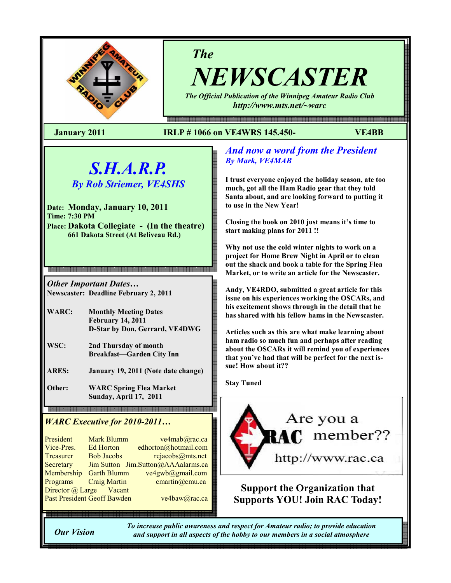

# The

NEWSCASTER The Official Publication of the Winnipeg Amateur Radio Club

e 1990 이 1990 이 1990 이 1990 이 1990 이 1990 이 1990 이 1990 이 1990 이 1990 이 1990 이 1990 이 1990 이 1990 이 1990 이 1990 이 1990 이 1990 이 1990 이 1990 이 1990 이 1990 이 1990 이 1990 이 1990 이 1990 이 1990 이 1990 이 1990 이 1990 이 1990 이 19

http://www.mts.net/~warc

# January 2011 IRLP # 1066 on VE4WRS 145.450- VE4BB

# S.H.A.R.P.

By Rob Striemer, VE4SHS

Date: Monday, January 10, 2011 Time: 7:30 PM Place: Dakota Collegiate - (In the theatre) 661 Dakota Street (At Beliveau Rd.)

Other Important Dates… Newscaster: Deadline February 2, 2011

- WARC: Monthly Meeting Dates February 14, 2011 D-Star by Don, Gerrard, VE4DWG
- WSC: 2nd Thursday of month Breakfast—Garden City Inn
- ARES: January 19, 2011 (Note date change)

Other: WARC Spring Flea Market Sunday, April 17, 2011

# WARC Executive for 2010-2011...

| President                          | <b>Mark Blumm</b>   | ve4mab@rac.ca                      |  |
|------------------------------------|---------------------|------------------------------------|--|
| Vice-Pres.                         | <b>Ed Horton</b>    | edhorton@hotmail.com               |  |
| <b>Treasurer</b>                   | <b>Bob Jacobs</b>   | rcjacobs@mts.net                   |  |
| Secretary                          |                     | Jim Sutton Jim.Sutton@AAAalarms.ca |  |
| Membership                         | <b>Garth Blumm</b>  | ve4gwb@gmail.com                   |  |
| Programs                           | <b>Craig Martin</b> | cmartin@cmu.ca                     |  |
| Director @ Large Vacant            |                     |                                    |  |
| <b>Past President Geoff Bawden</b> |                     | ve4baw@rac.ca                      |  |
|                                    |                     |                                    |  |

# And now a word from the President By Mark, VE4MAB

I trust everyone enjoyed the holiday season, ate too much, got all the Ham Radio gear that they told Santa about, and are looking forward to putting it to use in the New Year!

Closing the book on 2010 just means it's time to start making plans for 2011 !!

Why not use the cold winter nights to work on a project for Home Brew Night in April or to clean out the shack and book a table for the Spring Flea Market, or to write an article for the Newscaster.

Andy, VE4RDO, submitted a great article for this issue on his experiences working the OSCARs, and his excitement shows through in the detail that he has shared with his fellow hams in the Newscaster.

Articles such as this are what make learning about ham radio so much fun and perhaps after reading about the OSCARs it will remind you of experiences that you've had that will be perfect for the next issue! How about it??

Stay Tuned



Support the Organization that Supports YOU! Join RAC Today!

Our Vision

To increase public awareness and respect for Amateur radio; to provide education and support in all aspects of the hobby to our members in a social atmosphere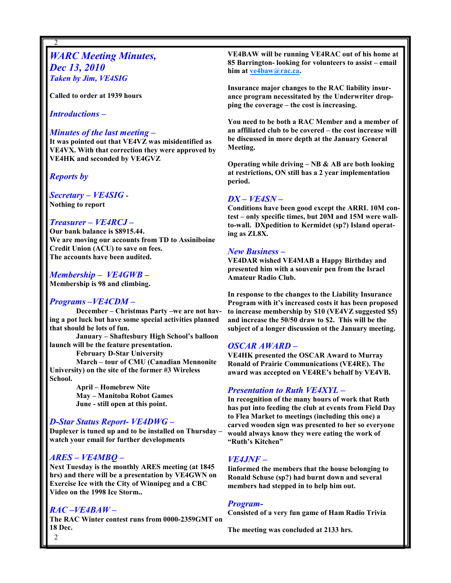# WARC Meeting Minutes, Dec 13, 2010 Taken by Jim, VE4SIG

Called to order at 1939 hours

Introductions –

2

#### Minutes of the last meeting –

It was pointed out that VE4VZ was misidentified as VE4VX. With that correction they were approved by VE4HK and seconded by VE4GVZ

Reports by

Secretary – VE4SIG - Nothing to report

#### Treasurer – VE4RCJ –

Our bank balance is \$8915.44. We are moving our accounts from TD to Assiniboine Credit Union (ACU) to save on fees. The accounts have been audited.

## Membership – VE4GWB –

Membership is 98 and climbing.

## Programs –VE4CDM –

December – Christmas Party –we are not having a pot luck but have some special activities planned that should be lots of fun.

January – Shaftesbury High School's balloon launch will be the feature presentation.

February D-Star University

March – tour of CMU (Canadian Mennonite University) on the site of the former #3 Wireless School.

> April – Homebrew Nite May – Manitoba Robot Games June - still open at this point.

## D-Star Status Report- VE4DWG –

Duplexer is tuned up and to be installed on Thursday – watch your email for further developments

## ARES – VE4MBQ –

Next Tuesday is the monthly ARES meeting (at 1845 hrs) and there will be a presentation by VE4GWN on Exercise Ice with the City of Winnipeg and a CBC Video on the 1998 Ice Storm..

# RAC –VE4BAW –

The RAC Winter contest runs from 0000-2359GMT on 18 Dec.

VE4BAW will be running VE4RAC out of his home at 85 Barrington- looking for volunteers to assist – email him at ve4baw@rac.ca.

Insurance major changes to the RAC liability insurance program necessitated by the Underwriter dropping the coverage – the cost is increasing.

You need to be both a RAC Member and a member of an affiliated club to be covered – the cost increase will be discussed in more depth at the January General Meeting.

Operating while driving  $-$  NB  $\&$  AB are both looking at restrictions, ON still has a 2 year implementation period.

## DX – VE4SN –

Conditions have been good except the ARRL 10M contest – only specific times, but 20M and 15M were wallto-wall. DXpedition to Kermidet (sp?) Island operating as ZL8X.

## New Business –

VE4DAR wished VE4MAB a Happy Birthday and presented him with a souvenir pen from the Israel Amateur Radio Club.

In response to the changes to the Liability Insurance Program with it's increased costs it has been proposed to increase membership by \$10 (VE4VZ suggested \$5) and increase the 50/50 draw to \$2. This will be the subject of a longer discussion ot the January meeting.

## OSCAR AWARD –

VE4HK presented the OSCAR Award to Murray Ronald of Prairie Communications (VE4RE). The award was accepted on VE4RE's behalf by VE4VB.

## Presentation to Ruth VE4XYL –

In recognition of the many hours of work that Ruth has put into feeding the club at events from Field Day to Flea Market to meetings (including this one) a carved wooden sign was presented to her so everyone would always know they were eating the work of "Ruth's Kitchen"

# VE4JNF –

Iinformed the members that the house belonging to Ronald Schuse (sp?) had burnt down and several members had stepped in to help him out.

#### Program-

Consisted of a very fun game of Ham Radio Trivia

The meeting was concluded at 2133 hrs.

 $\mathfrak{D}$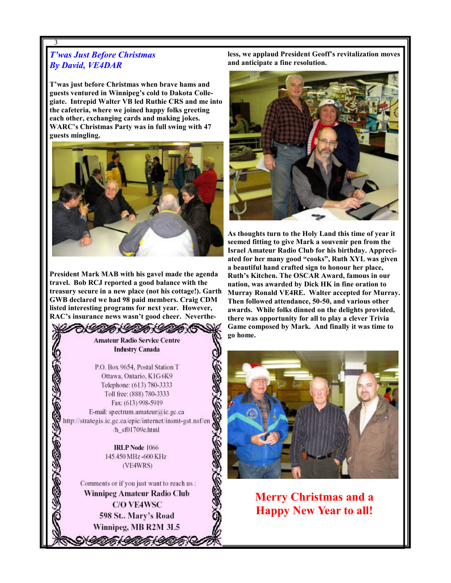# T'was Just Before Christmas By David, VE4DAR

3

T'was just before Christmas when brave hams and guests ventured in Winnipeg's cold to Dakota Collegiate. Intrepid Walter VB led Ruthie CRS and me into the cafeteria, where we joined happy folks greeting each other, exchanging cards and making jokes. WARC's Christmas Party was in full swing with 47 guests mingling.



President Mark MAB with his gavel made the agenda travel. Bob RCJ reported a good balance with the treasury secure in a new place (not his cottage!). Garth GWB declared we had 98 paid members. Craig CDM listed interesting programs for next year. However, RAC's insurance news wasn't good cheer. Neverthe-

# **Amateur Radio Service Centre Industry Canada**

M CAMER

P.O. Box 9654, Postal Station T Ottawa, Ontario, K1G 6K9 Telephone: (613) 780-3333 Toll free: (888) 780-3333 Fax: (613) 998-5919 E-mail: spectrum.amateur@ic.gc.ca http://strategis.ic.gc.ca/epic/internet/insmt-gst.nsf/en /h\_sf01709e.html

> **IRLP Node 1066** 145.450 MHz-600 KHz (VE4WRS)

Comments or if you just want to reach us : Winnipeg Amateur Radio Club **C/O VE4WSC** 598 St., Mary's Road Winnipeg, MB R2M 3L5

うくのかくのかくのかく

3

less, we applaud President Geoff's revitalization moves and anticipate a fine resolution.



As thoughts turn to the Holy Land this time of year it seemed fitting to give Mark a souvenir pen from the Israel Amateur Radio Club for his birthday. Appreciated for her many good "cooks", Ruth XYL was given a beautiful hand crafted sign to honour her place, Ruth's Kitchen. The OSCAR Award, famous in our nation, was awarded by Dick HK in fine oration to Murray Ronald VE4RE. Walter accepted for Murray. Then followed attendance, 50-50, and various other awards. While folks dinned on the delights provided, there was opportunity for all to play a clever Trivia Game composed by Mark. And finally it was time to go home.



Merry Christmas and a Happy New Year to all!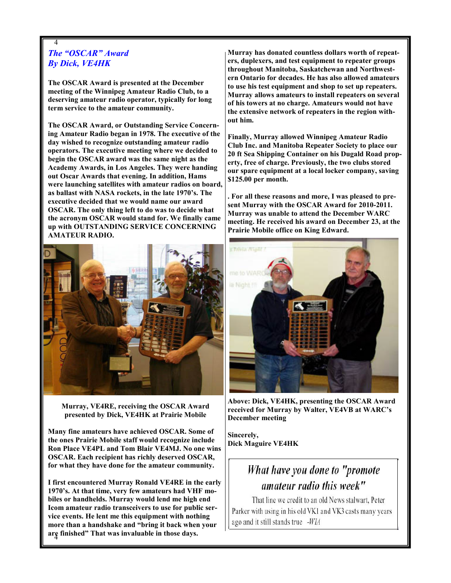# 4 The "OSCAR" Award By Dick, VE4HK

The OSCAR Award is presented at the December meeting of the Winnipeg Amateur Radio Club, to a deserving amateur radio operator, typically for long term service to the amateur community.

The OSCAR Award, or Outstanding Service Concerning Amateur Radio began in 1978. The executive of the day wished to recognize outstanding amateur radio operators. The executive meeting where we decided to begin the OSCAR award was the same night as the Academy Awards, in Los Angeles. They were handing out Oscar Awards that evening. In addition, Hams were launching satellites with amateur radios on board, as ballast with NASA rockets, in the late 1970's. The executive decided that we would name our award OSCAR. The only thing left to do was to decide what the acronym OSCAR would stand for. We finally came up with OUTSTANDING SERVICE CONCERNING AMATEUR RADIO.



Murray, VE4RE, receiving the OSCAR Award presented by Dick, VE4HK at Prairie Mobile

Many fine amateurs have achieved OSCAR. Some of the ones Prairie Mobile staff would recognize include Ron Place VE4PL and Tom Blair VE4MJ. No one wins OSCAR. Each recipient has richly deserved OSCAR, for what they have done for the amateur community.

4 are finished" That was invaluable in those days. I first encountered Murray Ronald VE4RE in the early 1970's. At that time, very few amateurs had VHF mobiles or handhelds. Murray would lend me high end Icom amateur radio transceivers to use for public service events. He lent me this equipment with nothing more than a handshake and "bring it back when your

Murray has donated countless dollars worth of repeaters, duplexers, and test equipment to repeater groups throughout Manitoba, Saskatchewan and Northwestern Ontario for decades. He has also allowed amateurs to use his test equipment and shop to set up repeaters. Murray allows amateurs to install repeaters on several of his towers at no charge. Amateurs would not have the extensive network of repeaters in the region without him.

Finally, Murray allowed Winnipeg Amateur Radio Club Inc. and Manitoba Repeater Society to place our 20 ft Sea Shipping Container on his Dugald Road property, free of charge. Previously, the two clubs stored our spare equipment at a local locker company, saving \$125.00 per month.

. For all these reasons and more, I was pleased to present Murray with the OSCAR Award for 2010-2011. Murray was unable to attend the December WARC meeting. He received his award on December 23, at the Prairie Mobile office on King Edward.



Above: Dick, VE4HK, presenting the OSCAR Award received for Murray by Walter, VE4VB at WARC's December meeting

Sincerely, Dick Maguire VE4HK

# What have you done to "promote" amateur radio this week"

That line we credit to an old News stalwart, Peter Parker with using in his old VK1 and VK3 casts many years ago and it still stands true -WIA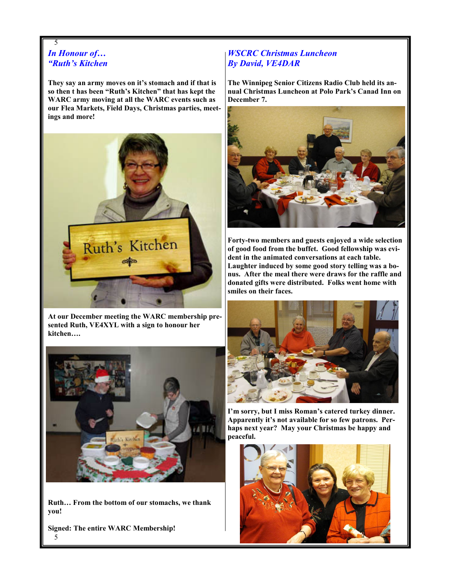# 5 In Honour of… "Ruth's Kitchen

They say an army moves on it's stomach and if that is so then t has been "Ruth's Kitchen" that has kept the WARC army moving at all the WARC events such as our Flea Markets, Field Days, Christmas parties, meetings and more!



At our December meeting the WARC membership presented Ruth, VE4XYL with a sign to honour her kitchen….



Ruth… From the bottom of our stomachs, we thank you!

5 Signed: The entire WARC Membership!

# WSCRC Christmas Luncheon By David, VE4DAR

The Winnipeg Senior Citizens Radio Club held its annual Christmas Luncheon at Polo Park's Canad Inn on December 7.



Forty-two members and guests enjoyed a wide selection of good food from the buffet. Good fellowship was evident in the animated conversations at each table. Laughter induced by some good story telling was a bonus. After the meal there were draws for the raffle and donated gifts were distributed. Folks went home with smiles on their faces.



I'm sorry, but I miss Roman's catered turkey dinner. Apparently it's not available for so few patrons. Perhaps next year? May your Christmas be happy and peaceful.

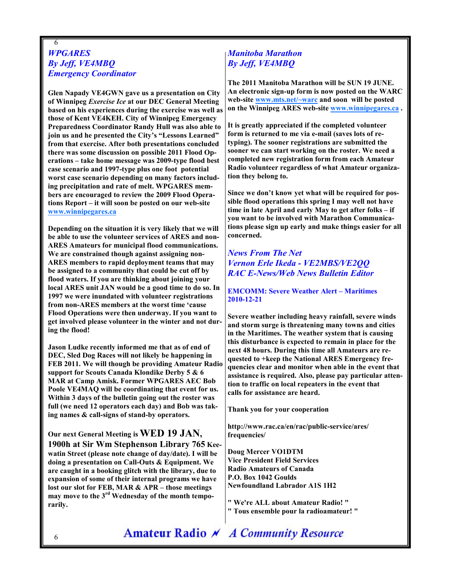# 6 **WPGARES** By Jeff, VE4MBQ Emergency Coordinator

Glen Napady VE4GWN gave us a presentation on City of Winnipeg Exercise Ice at our DEC General Meeting based on his experiences during the exercise was well as those of Kent VE4KEH. City of Winnipeg Emergency Preparedness Coordinator Randy Hull was also able to join us and he presented the City's "Lessons Learned" from that exercise. After both presentations concluded there was some discussion on possible 2011 Flood Operations – take home message was 2009-type flood best case scenario and 1997-type plus one foot potential worst case scenario depending on many factors including precipitation and rate of melt. WPGARES members are encouraged to review the 2009 Flood Operations Report – it will soon be posted on our web-site www.winnipegares.ca

Depending on the situation it is very likely that we will be able to use the volunteer services of ARES and non-ARES Amateurs for municipal flood communications. We are constrained though against assigning non-ARES members to rapid deployment teams that may be assigned to a community that could be cut off by flood waters. If you are thinking about joining your local ARES unit JAN would be a good time to do so. In 1997 we were inundated with volunteer registrations from non-ARES members at the worst time 'cause Flood Operations were then underway. If you want to get involved please volunteer in the winter and not during the flood!

Jason Ludke recently informed me that as of end of DEC, Sled Dog Races will not likely be happening in FEB 2011. We will though be providing Amateur Radio support for Scouts Canada Klondike Derby 5 & 6 MAR at Camp Amisk. Former WPGARES AEC Bob Poole VE4MAQ will be coordinating that event for us. Within 3 days of the bulletin going out the roster was full (we need 12 operators each day) and Bob was taking names & call-signs of stand-by operators.

Our next General Meeting is WED 19 JAN, 1900h at Sir Wm Stephenson Library 765 Keewatin Street (please note change of day/date). I will be doing a presentation on Call-Outs & Equipment. We are caught in a booking glitch with the library, due to expansion of some of their internal programs we have lost our slot for FEB, MAR & APR – those meetings may move to the 3rd Wednesday of the month temporarily.

# Manitoba Marathon By Jeff, VE4MBQ

The 2011 Manitoba Marathon will be SUN 19 JUNE. An electronic sign-up form is now posted on the WARC web-site www.mts.net/~warc and soon will be posted on the Winnipeg ARES web-site www.winnipegares.ca .

It is greatly appreciated if the completed volunteer form is returned to me via e-mail (saves lots of retyping). The sooner registrations are submitted the sooner we can start working on the roster. We need a completed new registration form from each Amateur Radio volunteer regardless of what Amateur organization they belong to.

Since we don't know yet what will be required for possible flood operations this spring I may well not have time in late April and early May to get after folks – if you want to be involved with Marathon Communications please sign up early and make things easier for all concerned.

# News From The Net Vernon Erle Ikeda - VE2MBS/VE2QQ RAC E-News/Web News Bulletin Editor

EMCOMM: Severe Weather Alert – Maritimes 2010-12-21

Severe weather including heavy rainfall, severe winds and storm surge is threatening many towns and cities in the Maritimes. The weather system that is causing this disturbance is expected to remain in place for the next 48 hours. During this time all Amateurs are requested to +keep the National ARES Emergency frequencies clear and monitor when able in the event that assistance is required. Also, please pay particular attention to traffic on local repeaters in the event that calls for assistance are heard.

Thank you for your cooperation

http://www.rac.ca/en/rac/public-service/ares/ frequencies/

Doug Mercer VO1DTM Vice President Field Services Radio Amateurs of Canada P.O. Box 1042 Goulds Newfoundland Labrador A1S 1H2

" We're ALL about Amateur Radio! "

" Tous ensemble pour la radioamateur! "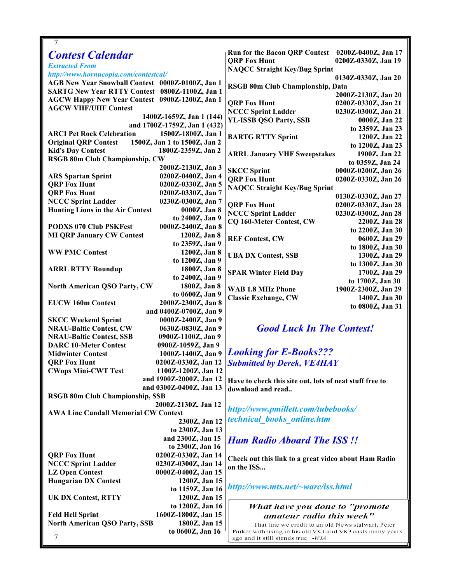| 7                                                                                         |                                                               |
|-------------------------------------------------------------------------------------------|---------------------------------------------------------------|
| <b>Contest Calendar</b>                                                                   | Run for the Bacon QRP Contest 0200Z-0400Z, Jan 17             |
|                                                                                           | <b>ORP Fox Hunt</b><br>0200Z-0330Z, Jan 19                    |
| <b>Extracted From</b>                                                                     | <b>NAQCC Straight Key/Bug Sprint</b>                          |
| http://www.hornucopia.com/contestcal/<br>AGB New Year Snowball Contest 0000Z-0100Z, Jan 1 | 0130Z-0330Z, Jan 20                                           |
| SARTG New Year RTTY Contest 0800Z-1100Z, Jan 1                                            | RSGB 80m Club Championship, Data                              |
| AGCW Happy New Year Contest 0900Z-1200Z, Jan 1                                            | 2000Z-2130Z, Jan 20                                           |
| <b>AGCW VHF/UHF Contest</b>                                                               | <b>ORP Fox Hunt</b><br>0200Z-0330Z, Jan 21                    |
| 1400Z-1659Z, Jan 1 (144)                                                                  | <b>NCCC Sprint Ladder</b><br>0230Z-0300Z, Jan 21              |
| and 1700Z-1759Z, Jan 1 (432)                                                              | <b>YL-ISSB QSO Party, SSB</b><br>0000Z, Jan 22                |
| <b>ARCI Pet Rock Celebration</b><br>1500Z-1800Z, Jan 1                                    | to 2359Z, Jan 23                                              |
| 1500Z, Jan 1 to 1500Z, Jan 2<br><b>Original QRP Contest</b>                               | <b>BARTG RTTY Sprint</b><br>1200Z, Jan 22                     |
| <b>Kid's Day Contest</b><br>1800Z-2359Z, Jan 2                                            | to 1200Z, Jan 23                                              |
| RSGB 80m Club Championship, CW                                                            | 1900Z, Jan 22<br><b>ARRL January VHF Sweepstakes</b>          |
| 2000Z-2130Z, Jan 3                                                                        | to 0359Z, Jan 24                                              |
| 0200Z-0400Z, Jan 4<br><b>ARS Spartan Sprint</b>                                           | <b>SKCC Sprint</b><br>0000Z-0200Z, Jan 26                     |
| <b>QRP Fox Hunt</b><br>0200Z-0330Z, Jan 5                                                 | <b>QRP Fox Hunt</b><br>0200Z-0330Z, Jan 26                    |
| <b>QRP Fox Hunt</b><br>0200Z-0330Z, Jan 7                                                 | <b>NAQCC Straight Key/Bug Sprint</b>                          |
| <b>NCCC Sprint Ladder</b><br>0230Z-0300Z, Jan 7                                           | 0130Z-0330Z, Jan 27                                           |
| <b>Hunting Lions in the Air Contest</b><br>0000Z, Jan 8                                   | <b>ORP Fox Hunt</b><br>0200Z-0330Z, Jan 28                    |
| to 2400Z, Jan 9                                                                           | <b>NCCC Sprint Ladder</b><br>0230Z-0300Z, Jan 28              |
| <b>PODXS 070 Club PSKFest</b><br>0000Z-2400Z, Jan 8                                       | CQ 160-Meter Contest, CW<br>2200Z, Jan 28<br>to 2200Z, Jan 30 |
| <b>MI QRP January CW Contest</b><br>1200Z, Jan 8                                          | <b>REF Contest, CW</b><br>0600Z, Jan 29                       |
| to 2359Z, Jan 9                                                                           | to 1800Z, Jan 30                                              |
| <b>WW PMC Contest</b><br>1200Z, Jan 8                                                     | <b>UBA DX Contest, SSB</b><br>1300Z, Jan 29                   |
| to 1200Z, Jan 9                                                                           | to 1300Z, Jan 30                                              |
| <b>ARRL RTTY Roundup</b><br>1800Z, Jan 8                                                  | <b>SPAR Winter Field Day</b><br>1700Z, Jan 29                 |
| to 2400Z, Jan 9                                                                           | to 1700Z, Jan 30                                              |
| North American QSO Party, CW<br>1800Z, Jan 8                                              | WAB 1.8 MHz Phone<br>1900Z-2300Z, Jan 29                      |
| to 0600Z, Jan 9                                                                           | <b>Classic Exchange, CW</b><br>1400Z, Jan 30                  |
| <b>EUCW 160m Contest</b><br>2000Z-2300Z, Jan 8                                            | to 0800Z, Jan 31                                              |
| and 0400Z-0700Z, Jan 9                                                                    |                                                               |
| <b>SKCC Weekend Sprint</b><br>0000Z-2400Z, Jan 9                                          |                                                               |
| <b>NRAU-Baltic Contest, CW</b><br>0630Z-0830Z, Jan 9                                      | <b>Good Luck In The Contest!</b>                              |
| <b>NRAU-Baltic Contest, SSB</b><br>0900Z-1100Z, Jan 9                                     |                                                               |
| 0900Z-1059Z, Jan 9<br><b>DARC 10-Meter Contest</b>                                        |                                                               |
| 1000Z-1400Z, Jan 9<br><b>Midwinter Contest</b>                                            | <b>Looking for E-Books???</b>                                 |
| <b>QRP Fox Hunt</b><br>0200Z-0330Z, Jan 12                                                | <b>Submitted by Derek, VE4HAY</b>                             |
| <b>CWops Mini-CWT Test</b><br>1100Z-1200Z, Jan 12                                         |                                                               |
| and 1900Z-2000Z, Jan 12                                                                   | Have to check this site out, lots of neat stuff free to       |
| and 0300Z-0400Z, Jan 13                                                                   | download and read                                             |
| <b>RSGB 80m Club Championship, SSB</b><br>2000Z-2130Z, Jan 12                             |                                                               |
| <b>AWA Linc Cundall Memorial CW Contest</b>                                               | http://www.pmillett.com/tubebooks/                            |
| 2300Z, Jan 12                                                                             | technical books online.htm                                    |
| to 2300Z, Jan 13                                                                          |                                                               |
| and 2300Z, Jan 15                                                                         |                                                               |
| to 2300Z, Jan 16                                                                          | <b>Ham Radio Aboard The ISS!!</b>                             |
| <b>QRP Fox Hunt</b><br>0200Z-0330Z, Jan 14                                                |                                                               |
| <b>NCCC Sprint Ladder</b><br>0230Z-0300Z, Jan 14                                          | Check out this link to a great video about Ham Radio          |
| <b>LZ Open Contest</b><br>0000Z-0400Z, Jan 15                                             | on the ISS                                                    |
| <b>Hungarian DX Contest</b><br>1200Z, Jan 15                                              |                                                               |
| to 1159Z, Jan 16                                                                          | http://www.mts.net/~warc/iss.html                             |
| 1200Z, Jan 15<br><b>UK DX Contest, RTTY</b>                                               |                                                               |
| to 1200Z, Jan 16                                                                          | What have you done to "promote                                |
| 1600Z-1800Z, Jan 15<br><b>Feld Hell Sprint</b>                                            | amateur radio this week"                                      |
| <b>North American QSO Party, SSB</b><br>1800Z, Jan 15                                     | That line we credit to an old News stalwart, Peter            |
| to 0600Z, Jan 16                                                                          | Parker with using in his old VK1 and VK3 casts many years     |
| 7                                                                                         | ago and it still stands true -WIA                             |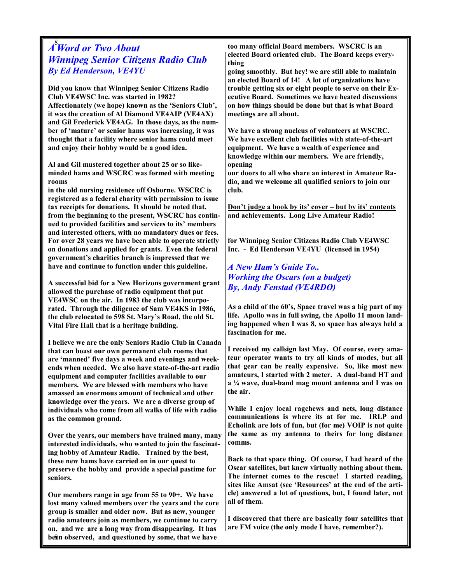# $A<sup>8</sup>$ Word or Two About Winnipeg Senior Citizens Radio Club By Ed Henderson, VE4YU

Did you know that Winnipeg Senior Citizens Radio Club VE4WSC Inc. was started in 1982? Affectionately (we hope) known as the 'Seniors Club', it was the creation of Al Diamond VE4AIP (VE4AX) and Gil Frederick VE4AG. In those days, as the number of 'mature' or senior hams was increasing, it was thought that a facility where senior hams could meet and enjoy their hobby would be a good idea.

Al and Gil mustered together about 25 or so likeminded hams and WSCRC was formed with meeting rooms

in the old nursing residence off Osborne. WSCRC is registered as a federal charity with permission to issue tax receipts for donations. It should be noted that, from the beginning to the present, WSCRC has continued to provided facilities and services to its' members and interested others, with no mandatory dues or fees. For over 28 years we have been able to operate strictly on donations and applied for grants. Even the federal government's charities branch is impressed that we have and continue to function under this guideline.

A successful bid for a New Horizons government grant allowed the purchase of radio equipment that put VE4WSC on the air. In 1983 the club was incorporated. Through the diligence of Sam VE4KS in 1986, the club relocated to 598 St. Mary's Road, the old St. Vital Fire Hall that is a heritage building.

I believe we are the only Seniors Radio Club in Canada that can boast our own permanent club rooms that are 'manned' five days a week and evenings and weekends when needed. We also have state-of-the-art radio equipment and computer facilities available to our members. We are blessed with members who have amassed an enormous amount of technical and other knowledge over the years. We are a diverse group of individuals who come from all walks of life with radio as the common ground.

Over the years, our members have trained many, many interested individuals, who wanted to join the fascinating hobby of Amateur Radio. Trained by the best, these new hams have carried on in our quest to preserve the hobby and provide a special pastime for seniors.

been observed, and questioned by some, that we have Our members range in age from 55 to 90+. We have lost many valued members over the years and the core group is smaller and older now. But as new, younger radio amateurs join as members, we continue to carry on, and we are a long way from disappearing. It has

too many official Board members. WSCRC is an elected Board oriented club. The Board keeps everything

going smoothly. But hey! we are still able to maintain an elected Board of 14! A lot of organizations have trouble getting six or eight people to serve on their Executive Board. Sometimes we have heated discussions on how things should be done but that is what Board meetings are all about.

We have a strong nucleus of volunteers at WSCRC. We have excellent club facilities with state-of-the-art equipment. We have a wealth of experience and knowledge within our members. We are friendly, opening

our doors to all who share an interest in Amateur Radio, and we welcome all qualified seniors to join our club.

Don't judge a book by its' cover – but by its' contents and achievements. Long Live Amateur Radio!

for Winnipeg Senior Citizens Radio Club VE4WSC Inc. - Ed Henderson VE4YU (licensed in 1954)

A New Ham's Guide To.. Working the Oscars (on a budget) By, Andy Fenstad (VE4RDO)

As a child of the 60's, Space travel was a big part of my life. Apollo was in full swing, the Apollo 11 moon landing happened when I was 8, so space has always held a fascination for me.

I received my callsign last May. Of course, every amateur operator wants to try all kinds of modes, but all that gear can be really expensive. So, like most new amateurs, I started with 2 meter. A dual-band HT and a ¼ wave, dual-band mag mount antenna and I was on the air.

While I enjoy local ragchews and nets, long distance communications is where its at for me. IRLP and Echolink are lots of fun, but (for me) VOIP is not quite the same as my antenna to theirs for long distance comms.

Back to that space thing. Of course, I had heard of the Oscar satellites, but knew virtually nothing about them. The internet comes to the rescue! I started reading, sites like Amsat (see 'Resources' at the end of the article) answered a lot of questions, but, I found later, not all of them.

I discovered that there are basically four satellites that are FM voice (the only mode I have, remember?).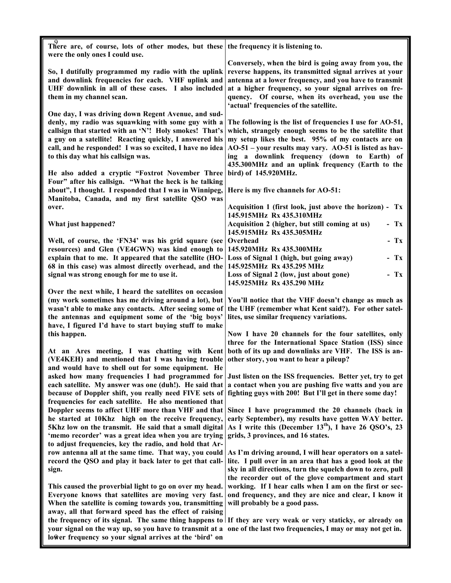| There are, of course, lots of other modes, but these                                                                                                                                                                          | the frequency it is listening to.                                                                                                                                          |
|-------------------------------------------------------------------------------------------------------------------------------------------------------------------------------------------------------------------------------|----------------------------------------------------------------------------------------------------------------------------------------------------------------------------|
| were the only ones I could use.                                                                                                                                                                                               |                                                                                                                                                                            |
| So, I dutifully programmed my radio with the uplink<br>and downlink frequencies for each. VHF uplink and                                                                                                                      | Conversely, when the bird is going away from you, the<br>reverse happens, its transmitted signal arrives at your<br>antenna at a lower frequency, and you have to transmit |
| UHF downlink in all of these cases. I also included<br>them in my channel scan.                                                                                                                                               | at a higher frequency, so your signal arrives on fre-<br>quency. Of course, when its overhead, you use the                                                                 |
|                                                                                                                                                                                                                               | 'actual' frequencies of the satellite.                                                                                                                                     |
| One day, I was driving down Regent Avenue, and sud-<br>denly, my radio was squawking with some guy with a<br>callsign that started with an 'N'! Holy smokes! That's<br>a guy on a satellite! Reacting quickly, I answered his | The following is the list of frequencies I use for AO-51,<br>which, strangely enough seems to be the satellite that<br>my setup likes the best. 95% of my contacts are on  |
| call, and he responded! I was so excited, I have no idea<br>to this day what his callsign was.                                                                                                                                | $AO-51$ – your results may vary. $AO-51$ is listed as hav-<br>ing a downlink frequency (down to Earth) of<br>435.300MHz and an uplink frequency (Earth to the              |
| He also added a cryptic "Foxtrot November Three                                                                                                                                                                               | bird) of 145.920MHz.                                                                                                                                                       |
| Four" after his callsign. "What the heck is he talking<br>about", I thought. I responded that I was in Winnipeg,<br>Manitoba, Canada, and my first satellite QSO was                                                          | Here is my five channels for AO-51:                                                                                                                                        |
| over.                                                                                                                                                                                                                         | Acquisition 1 (first look, just above the horizon) - Tx<br>145.915MHz Rx 435.310MHz                                                                                        |
| What just happened?                                                                                                                                                                                                           | Acquisition 2 (higher, but still coming at us)<br>$-Tx$<br>145.915MHz Rx 435.305MHz                                                                                        |
| Well, of course, the 'FN34' was his grid square (see                                                                                                                                                                          | Overhead<br>$-Tx$                                                                                                                                                          |
| resources) and Glen (VE4GWN) was kind enough to                                                                                                                                                                               | 145.920MHz Rx 435.300MHz                                                                                                                                                   |
| explain that to me. It appeared that the satellite (HO-                                                                                                                                                                       | $- Tx$<br>Loss of Signal 1 (high, but going away)                                                                                                                          |
| 68 in this case) was almost directly overhead, and the                                                                                                                                                                        | 145.925MHz Rx 435.295 MHz                                                                                                                                                  |
| signal was strong enough for me to use it.                                                                                                                                                                                    | $-Tx$<br>Loss of Signal 2 (low, just about gone)<br>145.925MHz Rx 435.290 MHz                                                                                              |
| Over the next while, I heard the satellites on occasion                                                                                                                                                                       |                                                                                                                                                                            |
| (my work sometimes has me driving around a lot), but<br>wasn't able to make any contacts. After seeing some of                                                                                                                | You'll notice that the VHF doesn't change as much as<br>the UHF (remember what Kent said?). For other satel-                                                               |
| the antennas and equipment some of the 'big boys'                                                                                                                                                                             | lites, use similar frequency variations.                                                                                                                                   |
| have, I figured I'd have to start buying stuff to make                                                                                                                                                                        |                                                                                                                                                                            |
| this happen.                                                                                                                                                                                                                  | Now I have 20 channels for the four satellites, only                                                                                                                       |
| At an Ares meeting, I was chatting with Kent                                                                                                                                                                                  | three for the International Space Station (ISS) since<br>both of its up and downlinks are VHF. The ISS is an-                                                              |
| (VE4KEH) and mentioned that I was having trouble<br>and would have to shell out for some equipment. He                                                                                                                        | other story, you want to hear a pileup?                                                                                                                                    |
| asked how many frequencies I had programmed for                                                                                                                                                                               | Just listen on the ISS frequencies. Better yet, try to get                                                                                                                 |
| each satellite. My answer was one (duh!). He said that<br>because of Doppler shift, you really need FIVE sets of                                                                                                              | a contact when you are pushing five watts and you are<br>fighting guys with 200! But I'll get in there some day!                                                           |
| frequencies for each satellite. He also mentioned that                                                                                                                                                                        | Doppler seems to affect UHF more than VHF and that Since I have programmed the 20 channels (back in                                                                        |
| he started at 10Khz high on the receive frequency,<br>5Khz low on the transmit. He said that a small digital                                                                                                                  | early September), my results have gotten WAY better.<br>As I write this (December 13 <sup>th</sup> ), I have 26 QSO's, 23                                                  |
| 'memo recorder' was a great idea when you are trying                                                                                                                                                                          | grids, 3 provinces, and 16 states.                                                                                                                                         |
| to adjust frequencies, key the radio, and hold that Ar-<br>row antenna all at the same time. That way, you could                                                                                                              | As I'm driving around, I will hear operators on a satel-                                                                                                                   |
| record the QSO and play it back later to get that call-                                                                                                                                                                       | lite. I pull over in an area that has a good look at the                                                                                                                   |
| sign.                                                                                                                                                                                                                         | sky in all directions, turn the squelch down to zero, pull<br>the recorder out of the glove compartment and start                                                          |
| This caused the proverbial light to go on over my head.                                                                                                                                                                       | working. If I hear calls when I am on the first or sec-                                                                                                                    |
| Everyone knows that satellites are moving very fast.                                                                                                                                                                          | ond frequency, and they are nice and clear, I know it                                                                                                                      |
| When the satellite is coming towards you, transmitting                                                                                                                                                                        | will probably be a good pass.                                                                                                                                              |
| away, all that forward speed has the effect of raising                                                                                                                                                                        | the frequency of its signal. The same thing happens to If they are very weak or very staticky, or already on                                                               |
|                                                                                                                                                                                                                               | your signal on the way up, so you have to transmit at a one of the last two frequencies, I may or may not get in.                                                          |
| lower frequency so your signal arrives at the 'bird' on                                                                                                                                                                       |                                                                                                                                                                            |